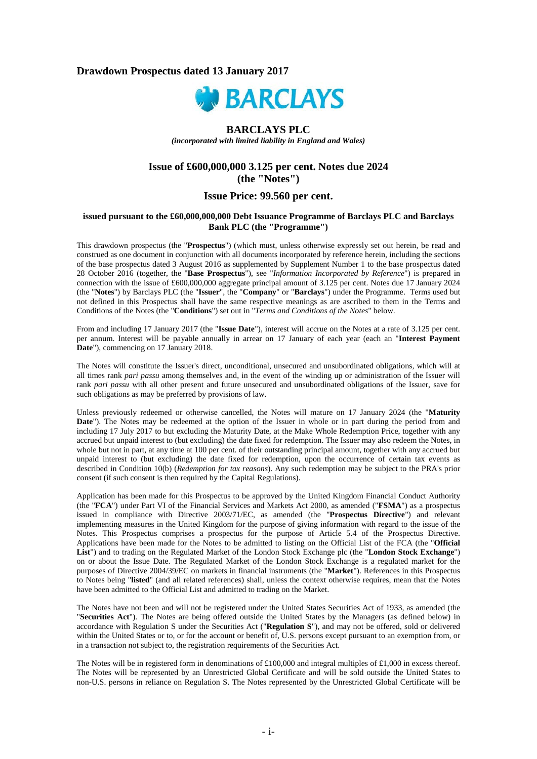## **Drawdown Prospectus dated 13 January 2017**



## **BARCLAYS PLC**

*(incorporated with limited liability in England and Wales)*

# **Issue of £600,000,000 3.125 per cent. Notes due 2024 (the "Notes")**

# **Issue Price: 99.560 per cent.**

#### **issued pursuant to the £60,000,000,000 Debt Issuance Programme of Barclays PLC and Barclays Bank PLC (the "Programme")**

This drawdown prospectus (the "**Prospectus**") (which must, unless otherwise expressly set out herein, be read and construed as one document in conjunction with all documents incorporated by reference herein, including the sections of the base prospectus dated 3 August 2016 as supplemented by Supplement Number 1 to the base prospectus dated 28 October 2016 (together, the "**Base Prospectus**"), see "*Information Incorporated by Reference*") is prepared in connection with the issue of £600,000,000 aggregate principal amount of 3.125 per cent. Notes due 17 January 2024 (the "**Notes**") by Barclays PLC (the "**Issuer**", the "**Company**" or "**Barclays**") under the Programme. Terms used but not defined in this Prospectus shall have the same respective meanings as are ascribed to them in the Terms and Conditions of the Notes (the "**Conditions**") set out in "*Terms and Conditions of the Notes*" below.

From and including 17 January 2017 (the "**Issue Date**"), interest will accrue on the Notes at a rate of 3.125 per cent. per annum. Interest will be payable annually in arrear on 17 January of each year (each an "**Interest Payment Date**"), commencing on 17 January 2018.

The Notes will constitute the Issuer's direct, unconditional, unsecured and unsubordinated obligations, which will at all times rank *pari passu* among themselves and, in the event of the winding up or administration of the Issuer will rank *pari passu* with all other present and future unsecured and unsubordinated obligations of the Issuer, save for such obligations as may be preferred by provisions of law.

Unless previously redeemed or otherwise cancelled, the Notes will mature on 17 January 2024 (the "**Maturity Date**"). The Notes may be redeemed at the option of the Issuer in whole or in part during the period from and including 17 July 2017 to but excluding the Maturity Date, at the Make Whole Redemption Price, together with any accrued but unpaid interest to (but excluding) the date fixed for redemption. The Issuer may also redeem the Notes, in whole but not in part, at any time at 100 per cent. of their outstanding principal amount, together with any accrued but unpaid interest to (but excluding) the date fixed for redemption, upon the occurrence of certain tax events as described in Condition 10(b) (*Redemption for tax reasons*). Any such redemption may be subject to the PRA's prior consent (if such consent is then required by the Capital Regulations).

Application has been made for this Prospectus to be approved by the United Kingdom Financial Conduct Authority (the "**FCA**") under Part VI of the Financial Services and Markets Act 2000, as amended ("**FSMA**") as a prospectus issued in compliance with Directive 2003/71/EC, as amended (the "**Prospectus Directive**") and relevant implementing measures in the United Kingdom for the purpose of giving information with regard to the issue of the Notes. This Prospectus comprises a prospectus for the purpose of Article 5.4 of the Prospectus Directive. Applications have been made for the Notes to be admitted to listing on the Official List of the FCA (the "**Official List**") and to trading on the Regulated Market of the London Stock Exchange plc (the "**London Stock Exchange**") on or about the Issue Date. The Regulated Market of the London Stock Exchange is a regulated market for the purposes of Directive 2004/39/EC on markets in financial instruments (the "**Market**"). References in this Prospectus to Notes being "**listed**" (and all related references) shall, unless the context otherwise requires, mean that the Notes have been admitted to the Official List and admitted to trading on the Market.

The Notes have not been and will not be registered under the United States Securities Act of 1933, as amended (the "**Securities Act**"). The Notes are being offered outside the United States by the Managers (as defined below) in accordance with Regulation S under the Securities Act ("**Regulation S**"), and may not be offered, sold or delivered within the United States or to, or for the account or benefit of, U.S. persons except pursuant to an exemption from, or in a transaction not subject to, the registration requirements of the Securities Act.

The Notes will be in registered form in denominations of £100,000 and integral multiples of £1,000 in excess thereof. The Notes will be represented by an Unrestricted Global Certificate and will be sold outside the United States to non-U.S. persons in reliance on Regulation S. The Notes represented by the Unrestricted Global Certificate will be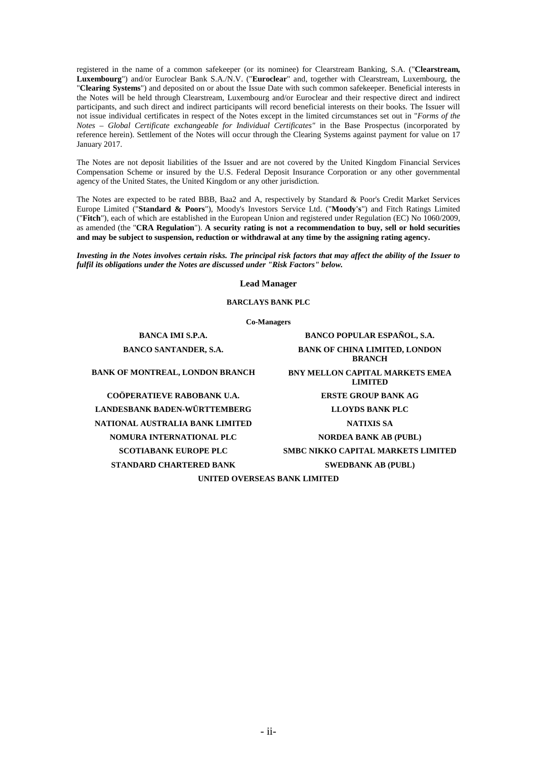registered in the name of a common safekeeper (or its nominee) for Clearstream Banking, S.A. ("**Clearstream, Luxembourg**") and/or Euroclear Bank S.A./N.V. ("**Euroclear**" and, together with Clearstream, Luxembourg, the "**Clearing Systems**") and deposited on or about the Issue Date with such common safekeeper. Beneficial interests in the Notes will be held through Clearstream, Luxembourg and/or Euroclear and their respective direct and indirect participants, and such direct and indirect participants will record beneficial interests on their books. The Issuer will not issue individual certificates in respect of the Notes except in the limited circumstances set out in "*Forms of the Notes – Global Certificate exchangeable for Individual Certificates"* in the Base Prospectus (incorporated by reference herein). Settlement of the Notes will occur through the Clearing Systems against payment for value on 17 January 2017.

The Notes are not deposit liabilities of the Issuer and are not covered by the United Kingdom Financial Services Compensation Scheme or insured by the U.S. Federal Deposit Insurance Corporation or any other governmental agency of the United States, the United Kingdom or any other jurisdiction.

The Notes are expected to be rated BBB, Baa2 and A, respectively by Standard & Poor's Credit Market Services Europe Limited ("**Standard & Poors**"), Moody's Investors Service Ltd. ("**Moody's**") and Fitch Ratings Limited ("**Fitch**"), each of which are established in the European Union and registered under Regulation (EC) No 1060/2009, as amended (the "**CRA Regulation**"). **A security rating is not a recommendation to buy, sell or hold securities and may be subject to suspension, reduction or withdrawal at any time by the assigning rating agency.**

*Investing in the Notes involves certain risks. The principal risk factors that may affect the ability of the Issuer to fulfil its obligations under the Notes are discussed under "Risk Factors" below.*

**Lead Manager**

**BARCLAYS BANK PLC**

**Co-Managers**

**LANDESBANK BADEN-WÜRTTEMBERG LLOYDS BANK PLC NATIONAL AUSTRALIA BANK LIMITED NATIXIS SA NOMURA INTERNATIONAL PLC NORDEA BANK AB (PUBL) STANDARD CHARTERED BANK SWEDBANK AB (PUBL)** 

**BANCA IMI S.P.A. BANCO POPULAR ESPAÑOL, S.A. BANCO SANTANDER, S.A. BANK OF CHINA LIMITED, LONDON BRANCH BANK OF MONTREAL, LONDON BRANCH BNY MELLON CAPITAL MARKETS EMEA LIMITED COÖPERATIEVE RABOBANK U.A. ERSTE GROUP BANK AG SCOTIABANK EUROPE PLC SMBC NIKKO CAPITAL MARKETS LIMITED**

**UNITED OVERSEAS BANK LIMITED**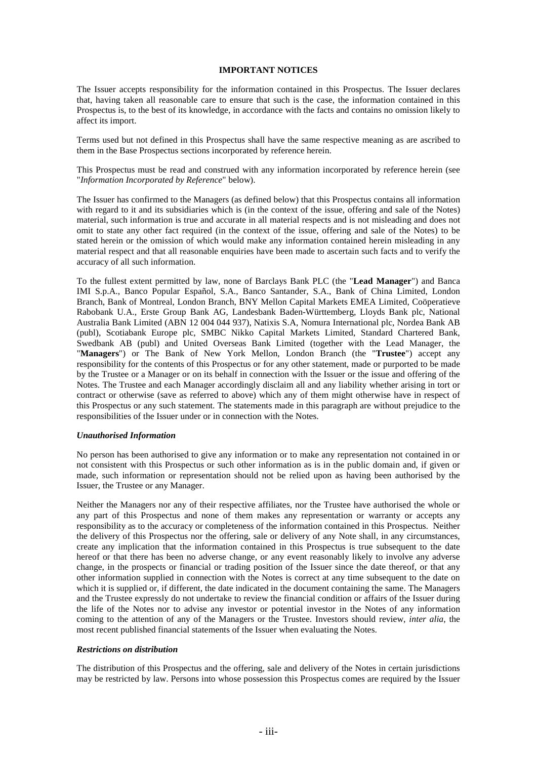#### **IMPORTANT NOTICES**

The Issuer accepts responsibility for the information contained in this Prospectus. The Issuer declares that, having taken all reasonable care to ensure that such is the case, the information contained in this Prospectus is, to the best of its knowledge, in accordance with the facts and contains no omission likely to affect its import.

Terms used but not defined in this Prospectus shall have the same respective meaning as are ascribed to them in the Base Prospectus sections incorporated by reference herein.

This Prospectus must be read and construed with any information incorporated by reference herein (see "*Information Incorporated by Reference*" below).

The Issuer has confirmed to the Managers (as defined below) that this Prospectus contains all information with regard to it and its subsidiaries which is (in the context of the issue, offering and sale of the Notes) material, such information is true and accurate in all material respects and is not misleading and does not omit to state any other fact required (in the context of the issue, offering and sale of the Notes) to be stated herein or the omission of which would make any information contained herein misleading in any material respect and that all reasonable enquiries have been made to ascertain such facts and to verify the accuracy of all such information.

To the fullest extent permitted by law, none of Barclays Bank PLC (the "**Lead Manager**") and Banca IMI S.p.A., Banco Popular Español, S.A., Banco Santander, S.A., Bank of China Limited, London Branch, Bank of Montreal, London Branch, BNY Mellon Capital Markets EMEA Limited, Coöperatieve Rabobank U.A., Erste Group Bank AG, Landesbank Baden-Württemberg, Lloyds Bank plc, National Australia Bank Limited (ABN 12 004 044 937), Natixis S.A, Nomura International plc, Nordea Bank AB (publ), Scotiabank Europe plc, SMBC Nikko Capital Markets Limited, Standard Chartered Bank, Swedbank AB (publ) and United Overseas Bank Limited (together with the Lead Manager, the "Managers") or The Bank of New York Mellon, London Branch (the "Trustee") accept any responsibility for the contents of this Prospectus or for any other statement, made or purported to be made by the Trustee or a Manager or on its behalf in connection with the Issuer or the issue and offering of the Notes. The Trustee and each Manager accordingly disclaim all and any liability whether arising in tort or contract or otherwise (save as referred to above) which any of them might otherwise have in respect of this Prospectus or any such statement. The statements made in this paragraph are without prejudice to the responsibilities of the Issuer under or in connection with the Notes.

#### *Unauthorised Information*

No person has been authorised to give any information or to make any representation not contained in or not consistent with this Prospectus or such other information as is in the public domain and, if given or made, such information or representation should not be relied upon as having been authorised by the Issuer, the Trustee or any Manager.

Neither the Managers nor any of their respective affiliates, nor the Trustee have authorised the whole or any part of this Prospectus and none of them makes any representation or warranty or accepts any responsibility as to the accuracy or completeness of the information contained in this Prospectus. Neither the delivery of this Prospectus nor the offering, sale or delivery of any Note shall, in any circumstances, create any implication that the information contained in this Prospectus is true subsequent to the date hereof or that there has been no adverse change, or any event reasonably likely to involve any adverse change, in the prospects or financial or trading position of the Issuer since the date thereof, or that any other information supplied in connection with the Notes is correct at any time subsequent to the date on which it is supplied or, if different, the date indicated in the document containing the same. The Managers and the Trustee expressly do not undertake to review the financial condition or affairs of the Issuer during the life of the Notes nor to advise any investor or potential investor in the Notes of any information coming to the attention of any of the Managers or the Trustee. Investors should review, *inter alia*, the most recent published financial statements of the Issuer when evaluating the Notes.

#### *Restrictions on distribution*

The distribution of this Prospectus and the offering, sale and delivery of the Notes in certain jurisdictions may be restricted by law. Persons into whose possession this Prospectus comes are required by the Issuer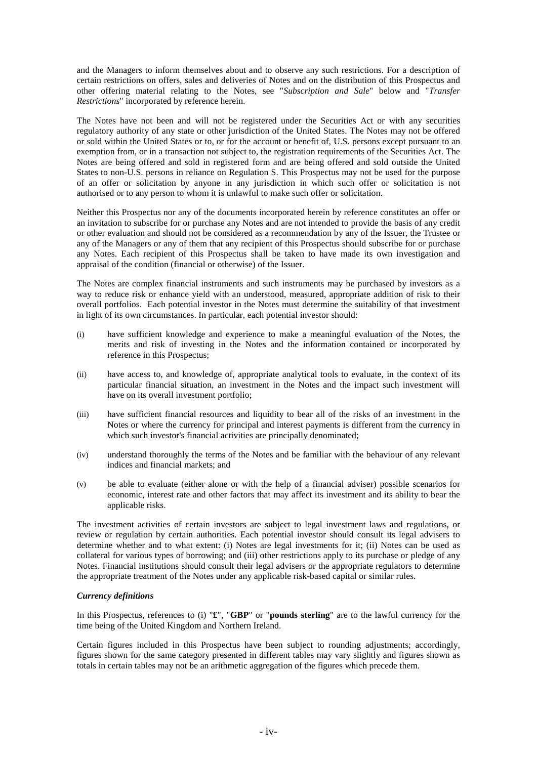and the Managers to inform themselves about and to observe any such restrictions. For a description of certain restrictions on offers, sales and deliveries of Notes and on the distribution of this Prospectus and other offering material relating to the Notes, see "*Subscription and Sale*" below and "*Transfer Restrictions*" incorporated by reference herein.

The Notes have not been and will not be registered under the Securities Act or with any securities regulatory authority of any state or other jurisdiction of the United States. The Notes may not be offered or sold within the United States or to, or for the account or benefit of, U.S. persons except pursuant to an exemption from, or in a transaction not subject to, the registration requirements of the Securities Act. The Notes are being offered and sold in registered form and are being offered and sold outside the United States to non-U.S. persons in reliance on Regulation S. This Prospectus may not be used for the purpose of an offer or solicitation by anyone in any jurisdiction in which such offer or solicitation is not authorised or to any person to whom it is unlawful to make such offer or solicitation.

Neither this Prospectus nor any of the documents incorporated herein by reference constitutes an offer or an invitation to subscribe for or purchase any Notes and are not intended to provide the basis of any credit or other evaluation and should not be considered as a recommendation by any of the Issuer, the Trustee or any of the Managers or any of them that any recipient of this Prospectus should subscribe for or purchase any Notes. Each recipient of this Prospectus shall be taken to have made its own investigation and appraisal of the condition (financial or otherwise) of the Issuer.

The Notes are complex financial instruments and such instruments may be purchased by investors as a way to reduce risk or enhance yield with an understood, measured, appropriate addition of risk to their overall portfolios. Each potential investor in the Notes must determine the suitability of that investment in light of its own circumstances. In particular, each potential investor should:

- (i) have sufficient knowledge and experience to make a meaningful evaluation of the Notes, the merits and risk of investing in the Notes and the information contained or incorporated by reference in this Prospectus;
- (ii) have access to, and knowledge of, appropriate analytical tools to evaluate, in the context of its particular financial situation, an investment in the Notes and the impact such investment will have on its overall investment portfolio;
- (iii) have sufficient financial resources and liquidity to bear all of the risks of an investment in the Notes or where the currency for principal and interest payments is different from the currency in which such investor's financial activities are principally denominated;
- (iv) understand thoroughly the terms of the Notes and be familiar with the behaviour of any relevant indices and financial markets; and
- (v) be able to evaluate (either alone or with the help of a financial adviser) possible scenarios for economic, interest rate and other factors that may affect its investment and its ability to bear the applicable risks.

The investment activities of certain investors are subject to legal investment laws and regulations, or review or regulation by certain authorities. Each potential investor should consult its legal advisers to determine whether and to what extent: (i) Notes are legal investments for it; (ii) Notes can be used as collateral for various types of borrowing; and (iii) other restrictions apply to its purchase or pledge of any Notes. Financial institutions should consult their legal advisers or the appropriate regulators to determine the appropriate treatment of the Notes under any applicable risk-based capital or similar rules.

### *Currency definitions*

In this Prospectus, references to (i) "**£**", "**GBP**" or "**pounds sterling**" are to the lawful currency for the time being of the United Kingdom and Northern Ireland.

Certain figures included in this Prospectus have been subject to rounding adjustments; accordingly, figures shown for the same category presented in different tables may vary slightly and figures shown as totals in certain tables may not be an arithmetic aggregation of the figures which precede them.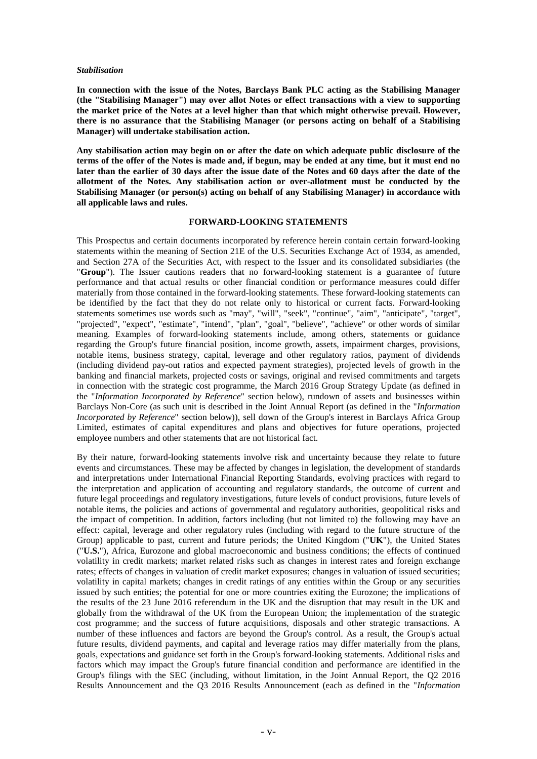#### *Stabilisation*

**In connection with the issue of the Notes, Barclays Bank PLC acting as the Stabilising Manager (the "Stabilising Manager") may over allot Notes or effect transactions with a view to supporting the market price of the Notes at a level higher than that which might otherwise prevail. However, there is no assurance that the Stabilising Manager (or persons acting on behalf of a Stabilising Manager) will undertake stabilisation action.** 

**Any stabilisation action may begin on or after the date on which adequate public disclosure of the terms of the offer of the Notes is made and, if begun, may be ended at any time, but it must end no later than the earlier of 30 days after the issue date of the Notes and 60 days after the date of the allotment of the Notes. Any stabilisation action or over-allotment must be conducted by the Stabilising Manager (or person(s) acting on behalf of any Stabilising Manager) in accordance with all applicable laws and rules.**

#### **FORWARD-LOOKING STATEMENTS**

This Prospectus and certain documents incorporated by reference herein contain certain forward-looking statements within the meaning of Section 21E of the U.S. Securities Exchange Act of 1934, as amended, and Section 27A of the Securities Act, with respect to the Issuer and its consolidated subsidiaries (the "**Group**"). The Issuer cautions readers that no forward-looking statement is a guarantee of future performance and that actual results or other financial condition or performance measures could differ materially from those contained in the forward-looking statements. These forward-looking statements can be identified by the fact that they do not relate only to historical or current facts. Forward-looking statements sometimes use words such as "may", "will", "seek", "continue", "aim", "anticipate", "target", "projected", "expect", "estimate", "intend", "plan", "goal", "believe", "achieve" or other words of similar meaning. Examples of forward-looking statements include, among others, statements or guidance regarding the Group's future financial position, income growth, assets, impairment charges, provisions, notable items, business strategy, capital, leverage and other regulatory ratios, payment of dividends (including dividend pay-out ratios and expected payment strategies), projected levels of growth in the banking and financial markets, projected costs or savings, original and revised commitments and targets in connection with the strategic cost programme, the March 2016 Group Strategy Update (as defined in the "*Information Incorporated by Reference*" section below), rundown of assets and businesses within Barclays Non-Core (as such unit is described in the Joint Annual Report (as defined in the "*Information Incorporated by Reference*" section below)), sell down of the Group's interest in Barclays Africa Group Limited, estimates of capital expenditures and plans and objectives for future operations, projected employee numbers and other statements that are not historical fact.

By their nature, forward-looking statements involve risk and uncertainty because they relate to future events and circumstances. These may be affected by changes in legislation, the development of standards and interpretations under International Financial Reporting Standards, evolving practices with regard to the interpretation and application of accounting and regulatory standards, the outcome of current and future legal proceedings and regulatory investigations, future levels of conduct provisions, future levels of notable items, the policies and actions of governmental and regulatory authorities, geopolitical risks and the impact of competition. In addition, factors including (but not limited to) the following may have an effect: capital, leverage and other regulatory rules (including with regard to the future structure of the Group) applicable to past, current and future periods; the United Kingdom ("**UK**"), the United States ("**U.S.**"), Africa, Eurozone and global macroeconomic and business conditions; the effects of continued volatility in credit markets; market related risks such as changes in interest rates and foreign exchange rates; effects of changes in valuation of credit market exposures; changes in valuation of issued securities; volatility in capital markets; changes in credit ratings of any entities within the Group or any securities issued by such entities; the potential for one or more countries exiting the Eurozone; the implications of the results of the 23 June 2016 referendum in the UK and the disruption that may result in the UK and globally from the withdrawal of the UK from the European Union; the implementation of the strategic cost programme; and the success of future acquisitions, disposals and other strategic transactions. A number of these influences and factors are beyond the Group's control. As a result, the Group's actual future results, dividend payments, and capital and leverage ratios may differ materially from the plans, goals, expectations and guidance set forth in the Group's forward-looking statements. Additional risks and factors which may impact the Group's future financial condition and performance are identified in the Group's filings with the SEC (including, without limitation, in the Joint Annual Report, the Q2 2016 Results Announcement and the Q3 2016 Results Announcement (each as defined in the "*Information*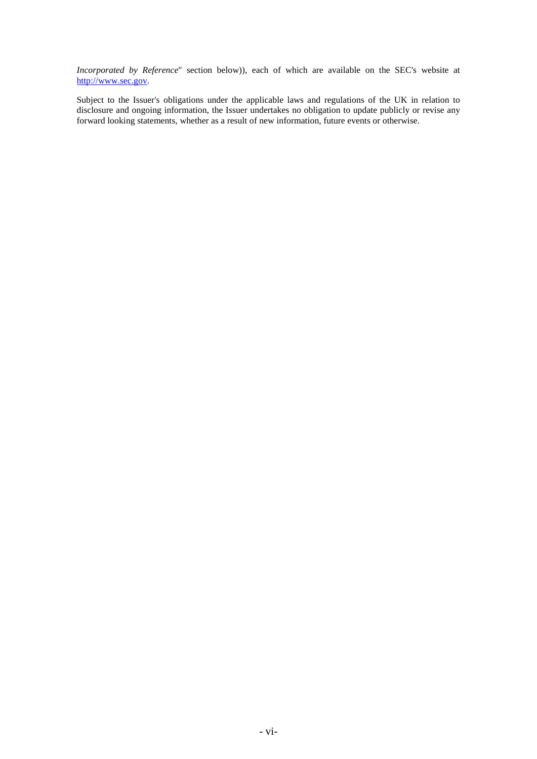*Incorporated by Reference*" section below)), each of which are available on the SEC's website at [http://www.sec.gov.](http://www.sec.gov/) 

Subject to the Issuer's obligations under the applicable laws and regulations of the UK in relation to disclosure and ongoing information, the Issuer undertakes no obligation to update publicly or revise any forward looking statements, whether as a result of new information, future events or otherwise.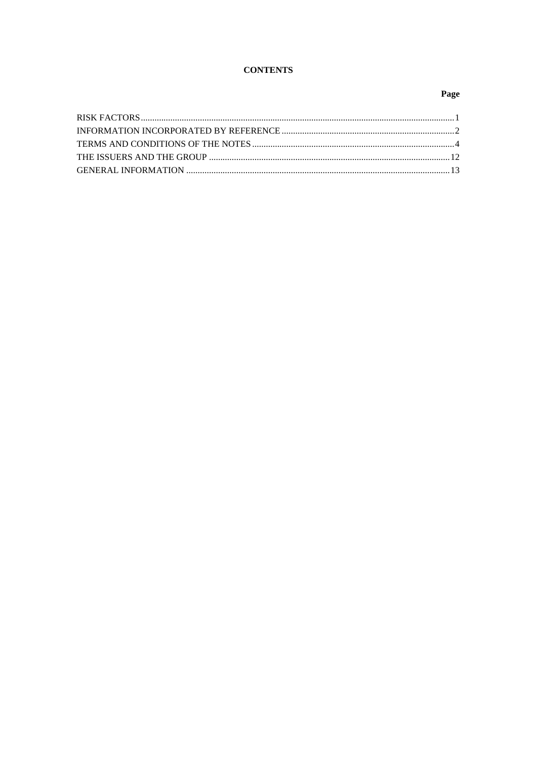# **CONTENTS**

# Page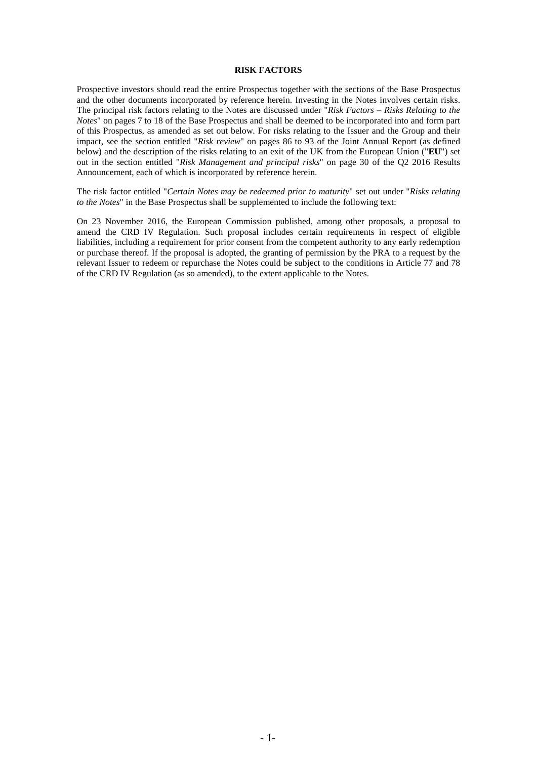#### **RISK FACTORS**

Prospective investors should read the entire Prospectus together with the sections of the Base Prospectus and the other documents incorporated by reference herein. Investing in the Notes involves certain risks. The principal risk factors relating to the Notes are discussed under "*Risk Factors – Risks Relating to the Notes*" on pages 7 to 18 of the Base Prospectus and shall be deemed to be incorporated into and form part of this Prospectus, as amended as set out below. For risks relating to the Issuer and the Group and their impact, see the section entitled "*Risk review*" on pages 86 to 93 of the Joint Annual Report (as defined below) and the description of the risks relating to an exit of the UK from the European Union ("**EU**") set out in the section entitled "*Risk Management and principal risks*" on page 30 of the Q2 2016 Results Announcement, each of which is incorporated by reference herein.

The risk factor entitled "*Certain Notes may be redeemed prior to maturity*" set out under "*Risks relating to the Notes*" in the Base Prospectus shall be supplemented to include the following text:

On 23 November 2016, the European Commission published, among other proposals, a proposal to amend the CRD IV Regulation. Such proposal includes certain requirements in respect of eligible liabilities, including a requirement for prior consent from the competent authority to any early redemption or purchase thereof. If the proposal is adopted, the granting of permission by the PRA to a request by the relevant Issuer to redeem or repurchase the Notes could be subject to the conditions in Article 77 and 78 of the CRD IV Regulation (as so amended), to the extent applicable to the Notes.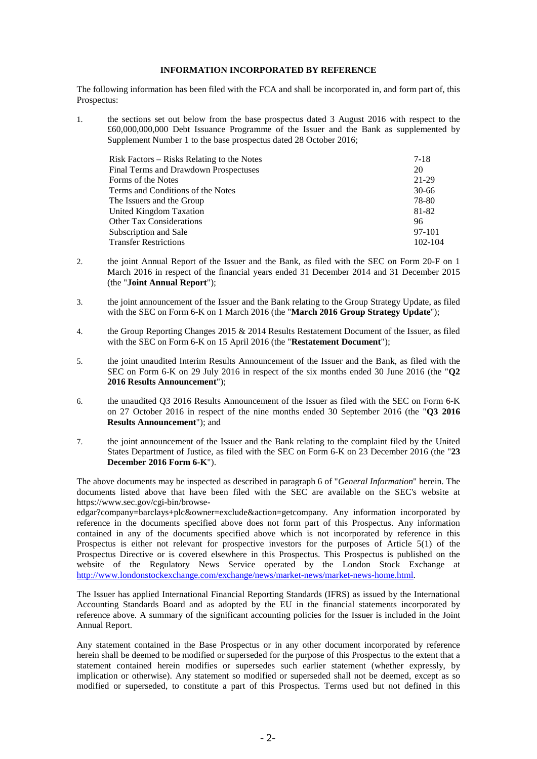## **INFORMATION INCORPORATED BY REFERENCE**

The following information has been filed with the FCA and shall be incorporated in, and form part of, this Prospectus:

1. the sections set out below from the base prospectus dated 3 August 2016 with respect to the £60,000,000,000 Debt Issuance Programme of the Issuer and the Bank as supplemented by Supplement Number 1 to the base prospectus dated 28 October 2016;

| Risk Factors – Risks Relating to the Notes | 7-18    |
|--------------------------------------------|---------|
| Final Terms and Drawdown Prospectuses      | 20      |
| Forms of the Notes                         | 21-29   |
| Terms and Conditions of the Notes          | 30-66   |
| The Issuers and the Group                  | 78-80   |
| United Kingdom Taxation                    | 81-82   |
| <b>Other Tax Considerations</b>            | 96      |
| Subscription and Sale                      | 97-101  |
| <b>Transfer Restrictions</b>               | 102-104 |

- 2. the joint Annual Report of the Issuer and the Bank, as filed with the SEC on Form 20-F on 1 March 2016 in respect of the financial years ended 31 December 2014 and 31 December 2015 (the "**Joint Annual Report**");
- 3. the joint announcement of the Issuer and the Bank relating to the Group Strategy Update, as filed with the SEC on Form 6-K on 1 March 2016 (the "**March 2016 Group Strategy Update**");
- 4. the Group Reporting Changes 2015 & 2014 Results Restatement Document of the Issuer, as filed with the SEC on Form 6-K on 15 April 2016 (the "**Restatement Document**");
- 5. the joint unaudited Interim Results Announcement of the Issuer and the Bank, as filed with the SEC on Form 6-K on 29 July 2016 in respect of the six months ended 30 June 2016 (the "**Q2 2016 Results Announcement**");
- 6. the unaudited Q3 2016 Results Announcement of the Issuer as filed with the SEC on Form 6-K on 27 October 2016 in respect of the nine months ended 30 September 2016 (the "**Q3 2016 Results Announcement**"); and
- 7. the joint announcement of the Issuer and the Bank relating to the complaint filed by the United States Department of Justice, as filed with the SEC on Form 6-K on 23 December 2016 (the "**23 December 2016 Form 6-K**").

The above documents may be inspected as described in paragraph 6 of "*General Information*" herein. The documents listed above that have been filed with the SEC are available on the SEC's website at https://www.sec.gov/cgi-bin/browse-

edgar?company=barclays+plc&owner=exclude&action=getcompany. Any information incorporated by reference in the documents specified above does not form part of this Prospectus. Any information contained in any of the documents specified above which is not incorporated by reference in this Prospectus is either not relevant for prospective investors for the purposes of Article 5(1) of the Prospectus Directive or is covered elsewhere in this Prospectus. This Prospectus is published on the website of the Regulatory News Service operated by the London Stock Exchange at [http://www.londonstockexchange.com/exchange/news/market-news/market-news-home.html.](http://www.londonstockexchange.com/exchange/news/market-news/market-news-home.html)

The Issuer has applied International Financial Reporting Standards (IFRS) as issued by the International Accounting Standards Board and as adopted by the EU in the financial statements incorporated by reference above. A summary of the significant accounting policies for the Issuer is included in the Joint Annual Report.

Any statement contained in the Base Prospectus or in any other document incorporated by reference herein shall be deemed to be modified or superseded for the purpose of this Prospectus to the extent that a statement contained herein modifies or supersedes such earlier statement (whether expressly, by implication or otherwise). Any statement so modified or superseded shall not be deemed, except as so modified or superseded, to constitute a part of this Prospectus. Terms used but not defined in this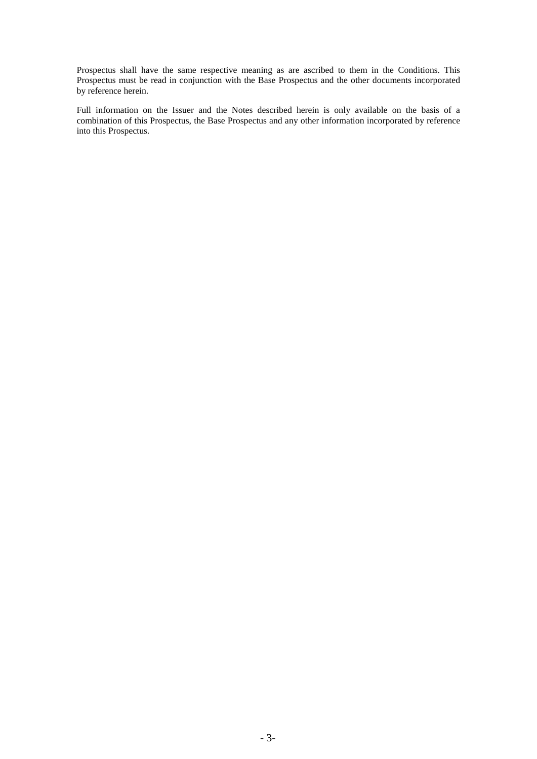Prospectus shall have the same respective meaning as are ascribed to them in the Conditions. This Prospectus must be read in conjunction with the Base Prospectus and the other documents incorporated by reference herein.

Full information on the Issuer and the Notes described herein is only available on the basis of a combination of this Prospectus, the Base Prospectus and any other information incorporated by reference into this Prospectus.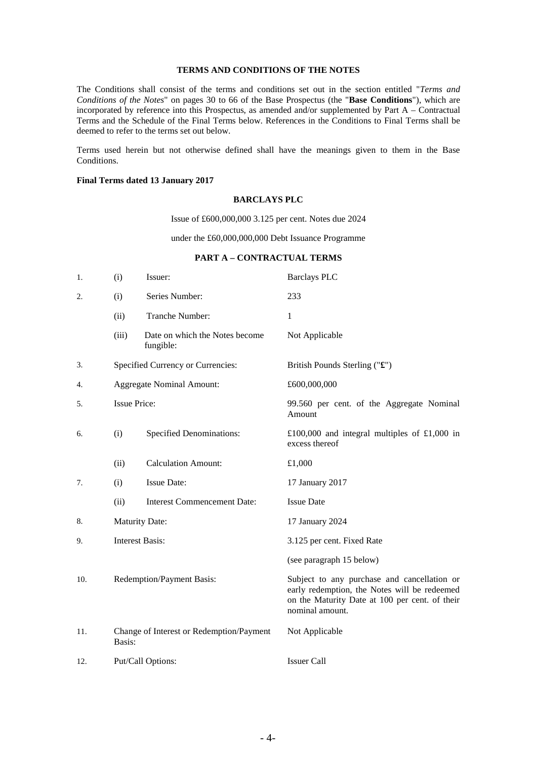#### **TERMS AND CONDITIONS OF THE NOTES**

The Conditions shall consist of the terms and conditions set out in the section entitled "*Terms and Conditions of the Notes*" on pages 30 to 66 of the Base Prospectus (the "**Base Conditions**"), which are incorporated by reference into this Prospectus, as amended and/or supplemented by Part A – Contractual Terms and the Schedule of the Final Terms below. References in the Conditions to Final Terms shall be deemed to refer to the terms set out below.

Terms used herein but not otherwise defined shall have the meanings given to them in the Base Conditions.

### **Final Terms dated 13 January 2017**

#### **BARCLAYS PLC**

Issue of £600,000,000 3.125 per cent. Notes due 2024

under the £60,000,000,000 Debt Issuance Programme

#### **PART A – CONTRACTUAL TERMS**

| 1.  | (i)                    | Issuer:                                     | <b>Barclays PLC</b>                                                                                                                                              |
|-----|------------------------|---------------------------------------------|------------------------------------------------------------------------------------------------------------------------------------------------------------------|
| 2.  | (i)                    | Series Number:                              | 233                                                                                                                                                              |
|     | (ii)                   | Tranche Number:                             | $\mathbf{1}$                                                                                                                                                     |
|     | (iii)                  | Date on which the Notes become<br>fungible: | Not Applicable                                                                                                                                                   |
| 3.  |                        | Specified Currency or Currencies:           | British Pounds Sterling ("£")                                                                                                                                    |
| 4.  |                        | <b>Aggregate Nominal Amount:</b>            | £600,000,000                                                                                                                                                     |
| 5.  | <b>Issue Price:</b>    |                                             | 99.560 per cent. of the Aggregate Nominal<br>Amount                                                                                                              |
| 6.  | (i)                    | <b>Specified Denominations:</b>             | £100,000 and integral multiples of £1,000 in<br>excess thereof                                                                                                   |
|     | (ii)                   | <b>Calculation Amount:</b>                  | £1,000                                                                                                                                                           |
| 7.  | (i)                    | <b>Issue Date:</b>                          | 17 January 2017                                                                                                                                                  |
|     | (ii)                   | <b>Interest Commencement Date:</b>          | <b>Issue Date</b>                                                                                                                                                |
| 8.  |                        | <b>Maturity Date:</b>                       | 17 January 2024                                                                                                                                                  |
| 9.  | <b>Interest Basis:</b> |                                             | 3.125 per cent. Fixed Rate                                                                                                                                       |
|     |                        |                                             | (see paragraph 15 below)                                                                                                                                         |
| 10. |                        | Redemption/Payment Basis:                   | Subject to any purchase and cancellation or<br>early redemption, the Notes will be redeemed<br>on the Maturity Date at 100 per cent. of their<br>nominal amount. |
| 11. | Basis:                 | Change of Interest or Redemption/Payment    | Not Applicable                                                                                                                                                   |
| 12. |                        | Put/Call Options:                           | <b>Issuer Call</b>                                                                                                                                               |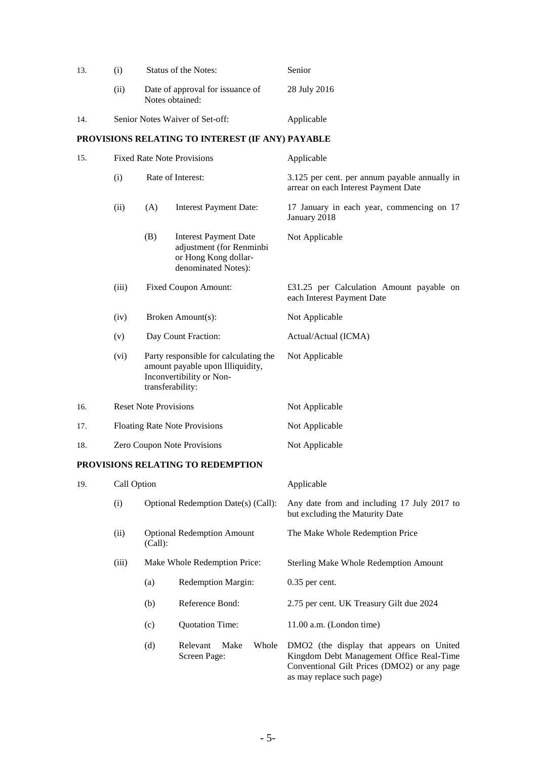| 13. | <b>Status of the Notes:</b><br>(i)   |                      |                                                                                                         | Senior                                                                                |
|-----|--------------------------------------|----------------------|---------------------------------------------------------------------------------------------------------|---------------------------------------------------------------------------------------|
|     | (ii)                                 |                      | Date of approval for issuance of<br>Notes obtained:                                                     | 28 July 2016                                                                          |
| 14. |                                      |                      | Senior Notes Waiver of Set-off:                                                                         | Applicable                                                                            |
|     |                                      |                      | PROVISIONS RELATING TO INTEREST (IF ANY) PAYABLE                                                        |                                                                                       |
| 15. | <b>Fixed Rate Note Provisions</b>    |                      |                                                                                                         | Applicable                                                                            |
|     | (i)                                  |                      | Rate of Interest:                                                                                       | 3.125 per cent. per annum payable annually in<br>arrear on each Interest Payment Date |
|     | (ii)                                 | (A)                  | <b>Interest Payment Date:</b>                                                                           | 17 January in each year, commencing on 17<br>January 2018                             |
|     |                                      | (B)                  | <b>Interest Payment Date</b><br>adjustment (for Renminbi<br>or Hong Kong dollar-<br>denominated Notes): | Not Applicable                                                                        |
|     | (iii)                                | Fixed Coupon Amount: |                                                                                                         | £31.25 per Calculation Amount payable on<br>each Interest Payment Date                |
|     | Broken Amount(s):<br>(iv)            |                      |                                                                                                         | Not Applicable                                                                        |
| (v) |                                      | Day Count Fraction:  |                                                                                                         | Actual/Actual (ICMA)                                                                  |
|     | (vi)                                 | transferability:     | Party responsible for calculating the<br>amount payable upon Illiquidity,<br>Inconvertibility or Non-   | Not Applicable                                                                        |
| 16. | <b>Reset Note Provisions</b>         |                      |                                                                                                         | Not Applicable                                                                        |
| 17. | <b>Floating Rate Note Provisions</b> |                      |                                                                                                         | Not Applicable                                                                        |
| 18. | Zero Coupon Note Provisions          |                      |                                                                                                         | Not Applicable                                                                        |
|     |                                      |                      | IC DEL 1 TIMA TA DEDEMOTI                                                                               |                                                                                       |

# **PROVISIONS RELATING TO REDEMPTION**

| 19. | Call Option |         |                                           | Applicable                                                                                                                                                       |
|-----|-------------|---------|-------------------------------------------|------------------------------------------------------------------------------------------------------------------------------------------------------------------|
|     | (i)         |         | Optional Redemption Date(s) (Call):       | Any date from and including 17 July 2017 to<br>but excluding the Maturity Date                                                                                   |
|     | (ii)        | (Call): | <b>Optional Redemption Amount</b>         | The Make Whole Redemption Price                                                                                                                                  |
|     | (iii)       |         | Make Whole Redemption Price:              | <b>Sterling Make Whole Redemption Amount</b>                                                                                                                     |
|     |             | (a)     | <b>Redemption Margin:</b>                 | $0.35$ per cent.                                                                                                                                                 |
|     |             | (b)     | Reference Bond:                           | 2.75 per cent. UK Treasury Gilt due 2024                                                                                                                         |
|     |             | (c)     | <b>Quotation Time:</b>                    | $11.00$ a.m. (London time)                                                                                                                                       |
|     |             | (d)     | Make<br>Whole<br>Relevant<br>Screen Page: | DMO2 (the display that appears on United<br>Kingdom Debt Management Office Real-Time<br>Conventional Gilt Prices (DMO2) or any page<br>as may replace such page) |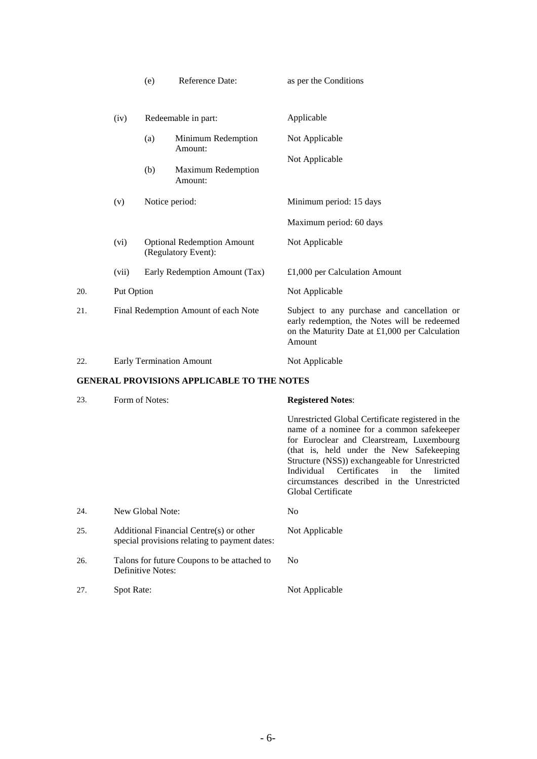|     |            | (e)            | Reference Date:                                          | as per the Conditions                                                                                                                                   |
|-----|------------|----------------|----------------------------------------------------------|---------------------------------------------------------------------------------------------------------------------------------------------------------|
|     | (iv)       |                | Redeemable in part:                                      | Applicable                                                                                                                                              |
|     |            | (a)            | Minimum Redemption<br>Amount:                            | Not Applicable                                                                                                                                          |
|     |            | (b)            | <b>Maximum Redemption</b><br>Amount:                     | Not Applicable                                                                                                                                          |
|     | (v)        | Notice period: |                                                          | Minimum period: 15 days                                                                                                                                 |
|     |            |                |                                                          | Maximum period: 60 days                                                                                                                                 |
|     | (vi)       |                | <b>Optional Redemption Amount</b><br>(Regulatory Event): | Not Applicable                                                                                                                                          |
|     | (vii)      |                | Early Redemption Amount (Tax)                            | £1,000 per Calculation Amount                                                                                                                           |
| 20. | Put Option |                |                                                          | Not Applicable                                                                                                                                          |
| 21. |            |                | Final Redemption Amount of each Note                     | Subject to any purchase and cancellation or<br>early redemption, the Notes will be redeemed<br>on the Maturity Date at £1,000 per Calculation<br>Amount |
| 22. |            |                | <b>Early Termination Amount</b>                          | Not Applicable                                                                                                                                          |

# **GENERAL PROVISIONS APPLICABLE TO THE NOTES**

| 23. | Form of Notes:                                                                           | <b>Registered Notes:</b>                                                                                                                                                                                                                                                                                                                                        |
|-----|------------------------------------------------------------------------------------------|-----------------------------------------------------------------------------------------------------------------------------------------------------------------------------------------------------------------------------------------------------------------------------------------------------------------------------------------------------------------|
|     |                                                                                          | Unrestricted Global Certificate registered in the<br>name of a nominee for a common safekeeper<br>for Euroclear and Clearstream, Luxembourg<br>(that is, held under the New Safekeeping)<br>Structure (NSS)) exchangeable for Unrestricted<br>Individual Certificates in<br>the<br>limited<br>circumstances described in the Unrestricted<br>Global Certificate |
| 24. | New Global Note:                                                                         | No.                                                                                                                                                                                                                                                                                                                                                             |
| 25. | Additional Financial Centre(s) or other<br>special provisions relating to payment dates: | Not Applicable                                                                                                                                                                                                                                                                                                                                                  |
| 26. | Talons for future Coupons to be attached to<br>Definitive Notes:                         | N <sub>0</sub>                                                                                                                                                                                                                                                                                                                                                  |
| 27. | Spot Rate:                                                                               | Not Applicable                                                                                                                                                                                                                                                                                                                                                  |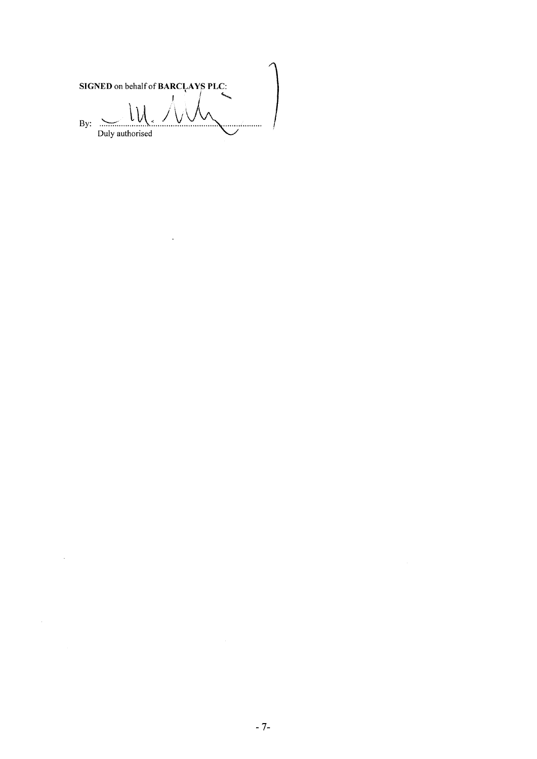SIGNED on behalf of BARCLAYS PLC: By:  $\frac{1}{2}$  $\ddotsc$ . . . . . . . Duly authorised

 $\sim$   $\alpha$ 

 $\sim 10^{-11}$ 

 $\mathcal{A}^{\mathcal{A}}$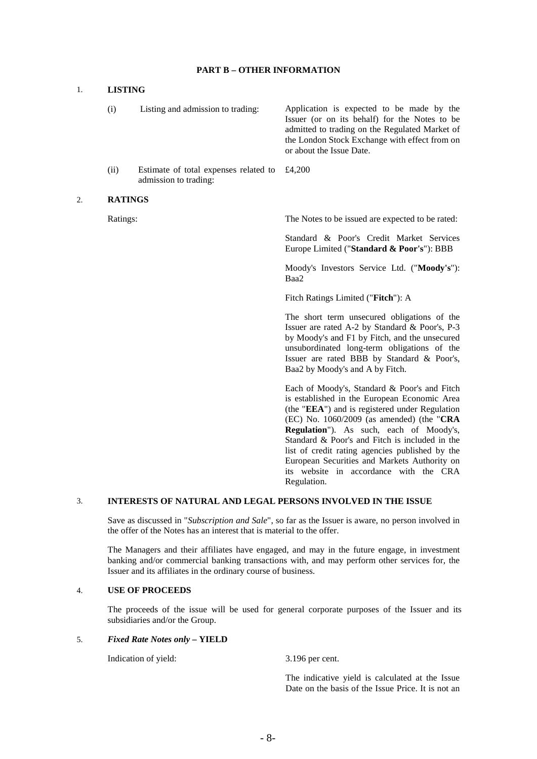### **PART B – OTHER INFORMATION**

### 1. **LISTING**

(i) Listing and admission to trading: Application is expected to be made by the Issuer (or on its behalf) for the Notes to be admitted to trading on the Regulated Market of the London Stock Exchange with effect from on or about the Issue Date. (ii) Estimate of total expenses related to admission to trading: £4,200 2. **RATINGS** Ratings: The Notes to be issued are expected to be rated:

> Standard & Poor's Credit Market Services Europe Limited ("**Standard & Poor's**"): BBB

> Moody's Investors Service Ltd. ("**Moody's**"): Baa2

Fitch Ratings Limited ("**Fitch**"): A

The short term unsecured obligations of the Issuer are rated A-2 by Standard & Poor's, P-3 by Moody's and F1 by Fitch, and the unsecured unsubordinated long-term obligations of the Issuer are rated BBB by Standard & Poor's, Baa2 by Moody's and A by Fitch.

Each of Moody's, Standard & Poor's and Fitch is established in the European Economic Area (the "**EEA**") and is registered under Regulation (EC) No. 1060/2009 (as amended) (the "**CRA Regulation**"). As such, each of Moody's, Standard & Poor's and Fitch is included in the list of credit rating agencies published by the European Securities and Markets Authority on its website in accordance with the CRA Regulation.

### 3. **INTERESTS OF NATURAL AND LEGAL PERSONS INVOLVED IN THE ISSUE**

Save as discussed in "*Subscription and Sale*", so far as the Issuer is aware, no person involved in the offer of the Notes has an interest that is material to the offer.

The Managers and their affiliates have engaged, and may in the future engage, in investment banking and/or commercial banking transactions with, and may perform other services for, the Issuer and its affiliates in the ordinary course of business.

### 4. **USE OF PROCEEDS**

The proceeds of the issue will be used for general corporate purposes of the Issuer and its subsidiaries and/or the Group.

#### 5. *Fixed Rate Notes only* **– YIELD**

Indication of yield: 3.196 per cent.

The indicative yield is calculated at the Issue Date on the basis of the Issue Price. It is not an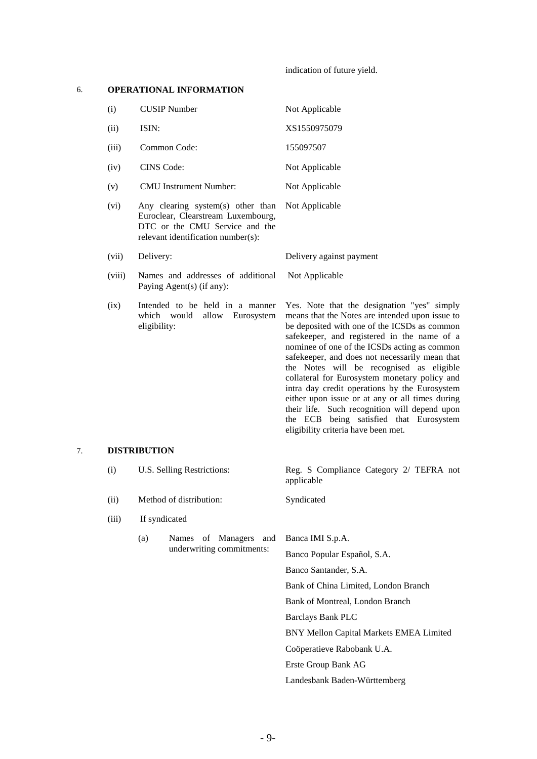indication of future yield.

### 6. **OPERATIONAL INFORMATION**

eligibility:

| (i)    | <b>CUSIP</b> Number                                                                                                                             | Not Applicable                                           |
|--------|-------------------------------------------------------------------------------------------------------------------------------------------------|----------------------------------------------------------|
| (ii)   | ISIN:                                                                                                                                           | XS1550975079                                             |
| (iii)  | Common Code:                                                                                                                                    | 155097507                                                |
| (iv)   | CINS Code:                                                                                                                                      | Not Applicable                                           |
| (v)    | <b>CMU</b> Instrument Number:                                                                                                                   | Not Applicable                                           |
| (vi)   | Any clearing system(s) other than<br>Euroclear, Clearstream Luxembourg,<br>DTC or the CMU Service and the<br>relevant identification number(s): | Not Applicable                                           |
| (vii)  | Delivery:                                                                                                                                       | Delivery against payment                                 |
| (viii) | Names and addresses of additional<br>Paying Agent(s) (if any):                                                                                  | Not Applicable                                           |
| (ix)   | Intended to be held in a manner<br>would<br>allow Eurosystem<br>which                                                                           | Yes. Note that the design<br>means that the Notes are in |

nation "yes" simply means that the Notes are intended upon issue to be deposited with one of the ICSDs as common safekeeper, and registered in the name of a nominee of one of the ICSDs acting as common safekeeper, and does not necessarily mean that the Notes will be recognised as eligible collateral for Eurosystem monetary policy and intra day credit operations by the Eurosystem either upon issue or at any or all times during their life. Such recognition will depend upon the ECB being satisfied that Eurosystem eligibility criteria have been met.

### 7. **DISTRIBUTION**

| (i)   |                                 | U.S. Selling Restrictions: | Reg. S Compliance Category 2/ TEFRA not<br>applicable |
|-------|---------------------------------|----------------------------|-------------------------------------------------------|
| (ii)  |                                 | Method of distribution:    | Syndicated                                            |
| (iii) |                                 | If syndicated              |                                                       |
|       | of Managers and<br>(a)<br>Names |                            | Banca IMI S.p.A.                                      |
|       |                                 | underwriting commitments:  | Banco Popular Español, S.A.                           |
|       |                                 |                            | Banco Santander, S.A.                                 |
|       |                                 |                            | Bank of China Limited, London Branch                  |
|       |                                 |                            | Bank of Montreal, London Branch                       |
|       |                                 |                            | Barclays Bank PLC                                     |
|       |                                 |                            | BNY Mellon Capital Markets EMEA Limited               |
|       |                                 |                            | Coöperatieve Rabobank U.A.                            |
|       |                                 |                            | Erste Group Bank AG                                   |
|       |                                 |                            | Landesbank Baden-Württemberg                          |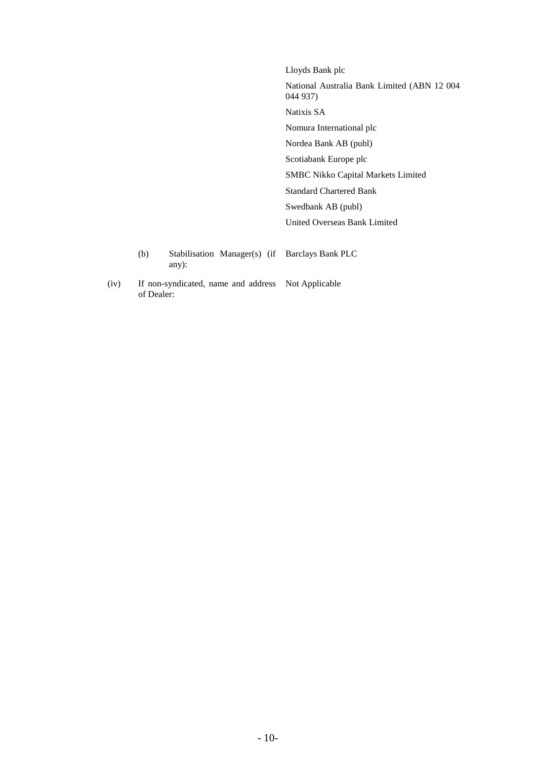Lloyds Bank plc National Australia Bank Limited (ABN 12 004 044 937) Natixis SA Nomura International plc Nordea Bank AB (publ) Scotiabank Europe plc SMBC Nikko Capital Markets Limited Standard Chartered Bank Swedbank AB (publ) United Overseas Bank Limited

- (b) Stabilisation Manager(s) (if Barclays Bank PLC any):
- (iv) If non-syndicated, name and address Not Applicable of Dealer: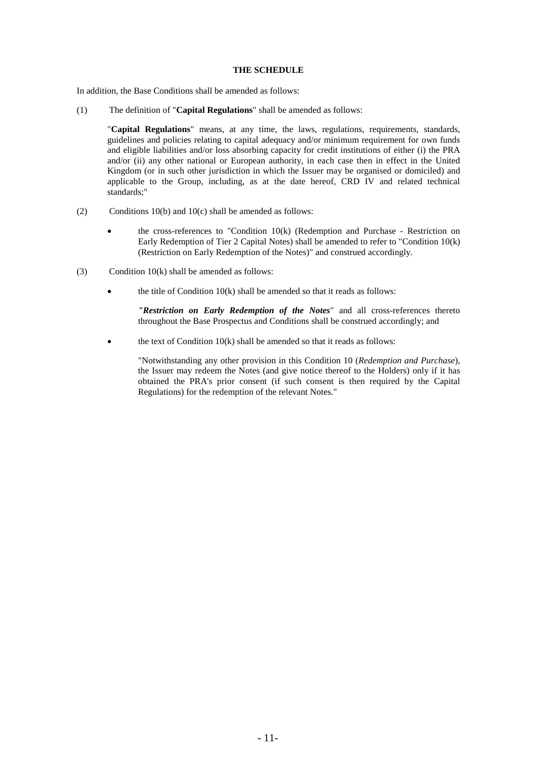#### **THE SCHEDULE**

In addition, the Base Conditions shall be amended as follows:

(1) The definition of "**Capital Regulations**" shall be amended as follows:

"**Capital Regulations**" means, at any time, the laws, regulations, requirements, standards, guidelines and policies relating to capital adequacy and/or minimum requirement for own funds and eligible liabilities and/or loss absorbing capacity for credit institutions of either (i) the PRA and/or (ii) any other national or European authority, in each case then in effect in the United Kingdom (or in such other jurisdiction in which the Issuer may be organised or domiciled) and applicable to the Group, including, as at the date hereof, CRD IV and related technical standards;"

- (2) Conditions  $10(b)$  and  $10(c)$  shall be amended as follows:
	- the cross-references to "Condition  $10(k)$  (Redemption and Purchase Restriction on Early Redemption of Tier 2 Capital Notes) shall be amended to refer to "Condition 10(k) (Restriction on Early Redemption of the Notes)" and construed accordingly.
- (3) Condition  $10(k)$  shall be amended as follows:
	- the title of Condition  $10(k)$  shall be amended so that it reads as follows:

*"Restriction on Early Redemption of the Notes*" and all cross-references thereto throughout the Base Prospectus and Conditions shall be construed accordingly; and

the text of Condition  $10(k)$  shall be amended so that it reads as follows:

"Notwithstanding any other provision in this Condition 10 (*Redemption and Purchase*), the Issuer may redeem the Notes (and give notice thereof to the Holders) only if it has obtained the PRA's prior consent (if such consent is then required by the Capital Regulations) for the redemption of the relevant Notes."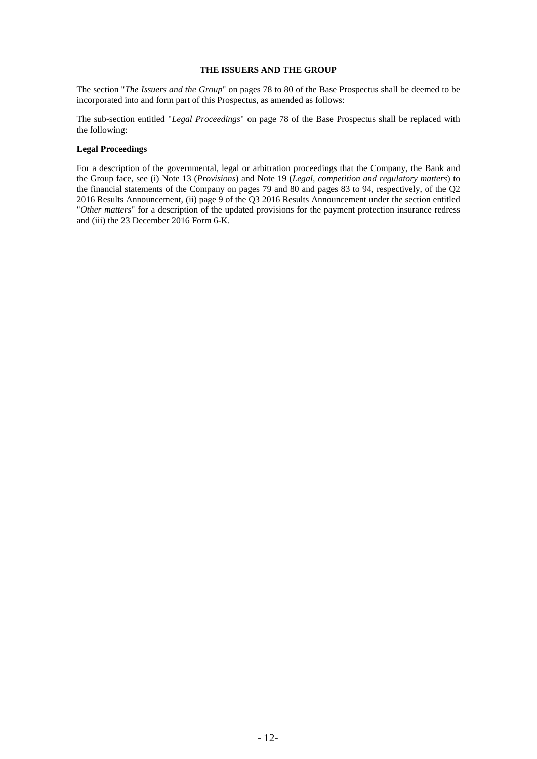#### **THE ISSUERS AND THE GROUP**

The section "*The Issuers and the Group*" on pages 78 to 80 of the Base Prospectus shall be deemed to be incorporated into and form part of this Prospectus, as amended as follows:

The sub-section entitled "*Legal Proceedings*" on page 78 of the Base Prospectus shall be replaced with the following:

#### **Legal Proceedings**

For a description of the governmental, legal or arbitration proceedings that the Company, the Bank and the Group face, see (i) Note 13 (*Provisions*) and Note 19 (*Legal, competition and regulatory matters*) to the financial statements of the Company on pages 79 and 80 and pages 83 to 94, respectively, of the Q2 2016 Results Announcement, (ii) page 9 of the Q3 2016 Results Announcement under the section entitled "*Other matters*" for a description of the updated provisions for the payment protection insurance redress and (iii) the 23 December 2016 Form 6-K.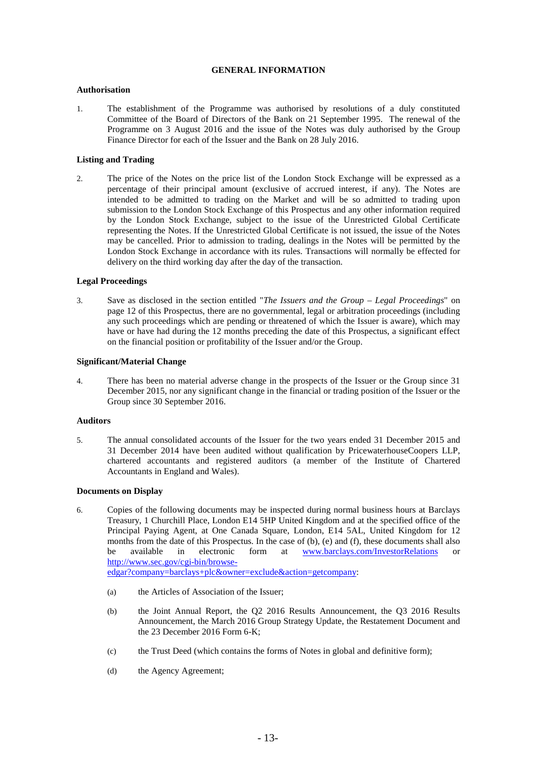### **GENERAL INFORMATION**

### **Authorisation**

1. The establishment of the Programme was authorised by resolutions of a duly constituted Committee of the Board of Directors of the Bank on 21 September 1995. The renewal of the Programme on 3 August 2016 and the issue of the Notes was duly authorised by the Group Finance Director for each of the Issuer and the Bank on 28 July 2016.

#### **Listing and Trading**

2. The price of the Notes on the price list of the London Stock Exchange will be expressed as a percentage of their principal amount (exclusive of accrued interest, if any). The Notes are intended to be admitted to trading on the Market and will be so admitted to trading upon submission to the London Stock Exchange of this Prospectus and any other information required by the London Stock Exchange, subject to the issue of the Unrestricted Global Certificate representing the Notes. If the Unrestricted Global Certificate is not issued, the issue of the Notes may be cancelled. Prior to admission to trading, dealings in the Notes will be permitted by the London Stock Exchange in accordance with its rules. Transactions will normally be effected for delivery on the third working day after the day of the transaction.

### **Legal Proceedings**

3. Save as disclosed in the section entitled "*The Issuers and the Group – Legal Proceedings*" on page 12 of this Prospectus, there are no governmental, legal or arbitration proceedings (including any such proceedings which are pending or threatened of which the Issuer is aware), which may have or have had during the 12 months preceding the date of this Prospectus, a significant effect on the financial position or profitability of the Issuer and/or the Group.

#### **Significant/Material Change**

4. There has been no material adverse change in the prospects of the Issuer or the Group since 31 December 2015, nor any significant change in the financial or trading position of the Issuer or the Group since 30 September 2016.

#### **Auditors**

5. The annual consolidated accounts of the Issuer for the two years ended 31 December 2015 and 31 December 2014 have been audited without qualification by PricewaterhouseCoopers LLP, chartered accountants and registered auditors (a member of the Institute of Chartered Accountants in England and Wales).

#### **Documents on Display**

6. Copies of the following documents may be inspected during normal business hours at Barclays Treasury, 1 Churchill Place, London E14 5HP United Kingdom and at the specified office of the Principal Paying Agent, at One Canada Square, London, E14 5AL, United Kingdom for 12 months from the date of this Prospectus. In the case of (b), (e) and (f), these documents shall also be available in electronic form at [www.barclays.com/InvestorRelations](http://www.barclays.com/InvestorRelations) or [http://www.sec.gov/cgi-bin/browse-](http://www.sec.gov/cgi-bin/browse-edgar?company=barclays+plc&owner=exclude&action=getcompany)

[edgar?company=barclays+plc&owner=exclude&action=getcompany:](http://www.sec.gov/cgi-bin/browse-edgar?company=barclays+plc&owner=exclude&action=getcompany)

- (a) the Articles of Association of the Issuer;
- (b) the Joint Annual Report, the Q2 2016 Results Announcement, the Q3 2016 Results Announcement, the March 2016 Group Strategy Update, the Restatement Document and the 23 December 2016 Form 6-K;
- (c) the Trust Deed (which contains the forms of Notes in global and definitive form);
- (d) the Agency Agreement;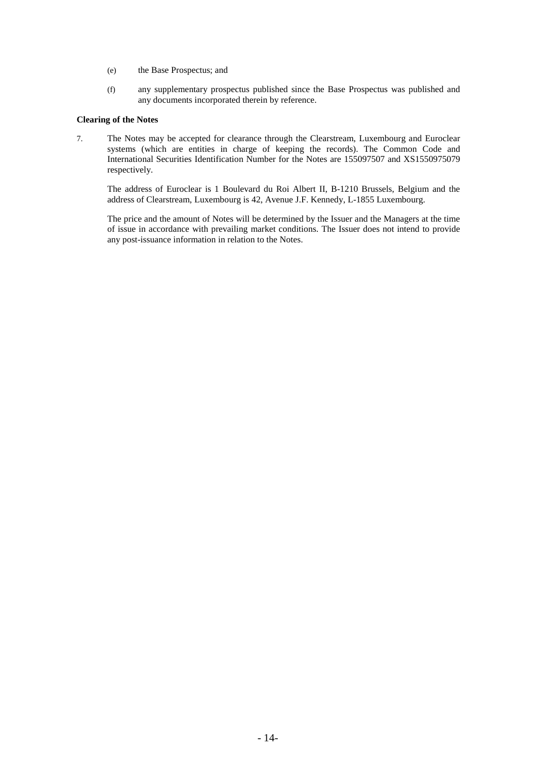- (e) the Base Prospectus; and
- (f) any supplementary prospectus published since the Base Prospectus was published and any documents incorporated therein by reference.

### **Clearing of the Notes**

7. The Notes may be accepted for clearance through the Clearstream, Luxembourg and Euroclear systems (which are entities in charge of keeping the records). The Common Code and International Securities Identification Number for the Notes are 155097507 and XS1550975079 respectively.

The address of Euroclear is 1 Boulevard du Roi Albert II, B-1210 Brussels, Belgium and the address of Clearstream, Luxembourg is 42, Avenue J.F. Kennedy, L-1855 Luxembourg.

The price and the amount of Notes will be determined by the Issuer and the Managers at the time of issue in accordance with prevailing market conditions. The Issuer does not intend to provide any post-issuance information in relation to the Notes.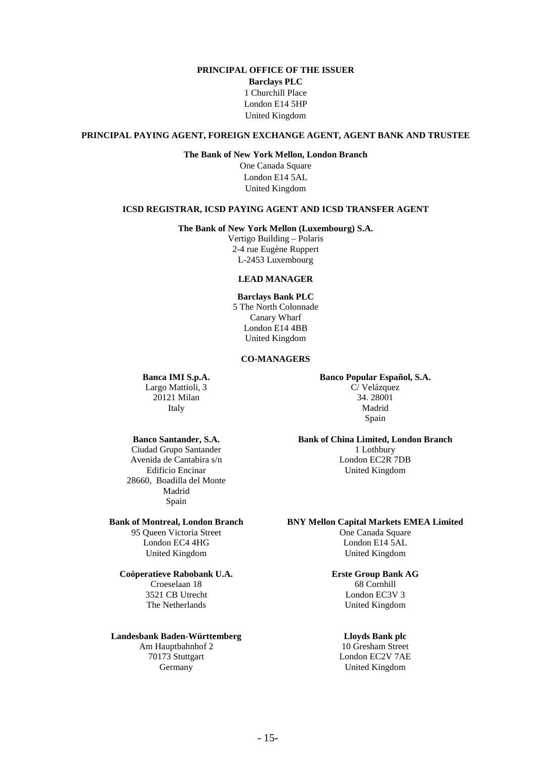# **PRINCIPAL OFFICE OF THE ISSUER**

**Barclays PLC** 1 Churchill Place London E14 5HP United Kingdom

### **PRINCIPAL PAYING AGENT, FOREIGN EXCHANGE AGENT, AGENT BANK AND TRUSTEE**

#### **The Bank of New York Mellon, London Branch**

One Canada Square London E14 5AL United Kingdom

### **ICSD REGISTRAR, ICSD PAYING AGENT AND ICSD TRANSFER AGENT**

**The Bank of New York Mellon (Luxembourg) S.A.**

Vertigo Building – Polaris 2-4 rue Eugène Ruppert L-2453 Luxembourg

### **LEAD MANAGER**

**Barclays Bank PLC** 5 The North Colonnade Canary Wharf London E14 4BB United Kingdom

### **CO-MANAGERS**

#### **Banca IMI S.p.A.**

Largo Mattioli, 3 20121 Milan Italy

#### **Banco Popular Español, S.A.**

C/ Velázquez 34. 28001 Madrid Spain

## **Banco Santander, S.A.**

Ciudad Grupo Santander Avenida de Cantabira s/n Edificio Encinar 28660, Boadilla del Monte Madrid Spain

### **Bank of Montreal, London Branch**

95 Queen Victoria Street London EC4 4HG United Kingdom

### **Coöperatieve Rabobank U.A.**

Croeselaan 18 3521 CB Utrecht The Netherlands

### **Landesbank Baden-Württemberg**

Am Hauptbahnhof 2 70173 Stuttgart Germany

**Bank of China Limited, London Branch**

1 Lothbury London EC2R 7DB United Kingdom

#### **BNY Mellon Capital Markets EMEA Limited**

One Canada Square London E14 5AL United Kingdom

# **Erste Group Bank AG**

68 Cornhill London EC3V 3 United Kingdom

# **Lloyds Bank plc**

10 Gresham Street London EC2V 7AE United Kingdom